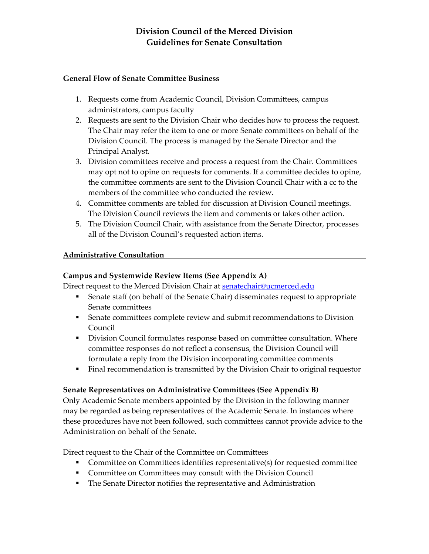## **Division Council of the Merced Division Guidelines for Senate Consultation**

#### **General Flow of Senate Committee Business**

- 1. Requests come from Academic Council, Division Committees, campus administrators, campus faculty
- 2. Requests are sent to the Division Chair who decides how to process the request. The Chair may refer the item to one or more Senate committees on behalf of the Division Council. The process is managed by the Senate Director and the Principal Analyst.
- 3. Division committees receive and process a request from the Chair. Committees may opt not to opine on requests for comments. If a committee decides to opine, the committee comments are sent to the Division Council Chair with a cc to the members of the committee who conducted the review.
- 4. Committee comments are tabled for discussion at Division Council meetings. The Division Council reviews the item and comments or takes other action.
- 5. The Division Council Chair, with assistance from the Senate Director, processes all of the Division Council's requested action items.

### **Administrative Consultation**

### **Campus and Systemwide Review Items (See Appendix A)**

Direct request to the Merced Division Chair at senatechair@ucmerced.edu

- Senate staff (on behalf of the Senate Chair) disseminates request to appropriate Senate committees
- Senate committees complete review and submit recommendations to Division Council
- Division Council formulates response based on committee consultation. Where committee responses do not reflect a consensus, the Division Council will formulate a reply from the Division incorporating committee comments
- Final recommendation is transmitted by the Division Chair to original requestor

## **Senate Representatives on Administrative Committees (See Appendix B)**

Only Academic Senate members appointed by the Division in the following manner may be regarded as being representatives of the Academic Senate. In instances where these procedures have not been followed, such committees cannot provide advice to the Administration on behalf of the Senate.

Direct request to the Chair of the Committee on Committees

- Committee on Committees identifies representative(s) for requested committee
- Committee on Committees may consult with the Division Council
- The Senate Director notifies the representative and Administration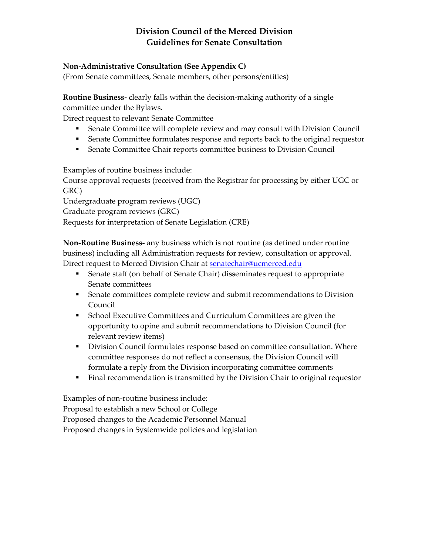## **Division Council of the Merced Division Guidelines for Senate Consultation**

### **Non‐Administrative Consultation (See Appendix C)**

(From Senate committees, Senate members, other persons/entities)

**Routine Business‐** clearly falls within the decision‐making authority of a single committee under the Bylaws.

Direct request to relevant Senate Committee

- Senate Committee will complete review and may consult with Division Council
- Senate Committee formulates response and reports back to the original requestor
- Senate Committee Chair reports committee business to Division Council

Examples of routine business include:

Course approval requests (received from the Registrar for processing by either UGC or GRC)

Undergraduate program reviews (UGC)

Graduate program reviews (GRC)

Requests for interpretation of Senate Legislation (CRE)

**Non‐Routine Business‐** any business which is not routine (as defined under routine business) including all Administration requests for review, consultation or approval. Direct request to Merced Division Chair at **senatechair@ucmerced.edu** 

- Senate staff (on behalf of Senate Chair) disseminates request to appropriate Senate committees
- Senate committees complete review and submit recommendations to Division Council
- **School Executive Committees and Curriculum Committees are given the** opportunity to opine and submit recommendations to Division Council (for relevant review items)
- Division Council formulates response based on committee consultation. Where committee responses do not reflect a consensus, the Division Council will formulate a reply from the Division incorporating committee comments
- Final recommendation is transmitted by the Division Chair to original requestor

Examples of non‐routine business include: Proposal to establish a new School or College Proposed changes to the Academic Personnel Manual Proposed changes in Systemwide policies and legislation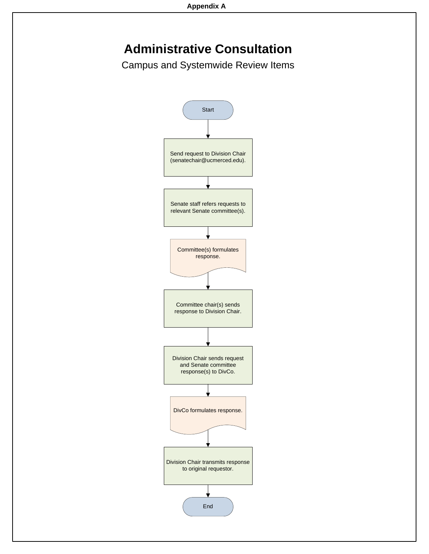# **Administrative Consultation**

Campus and Systemwide Review Items

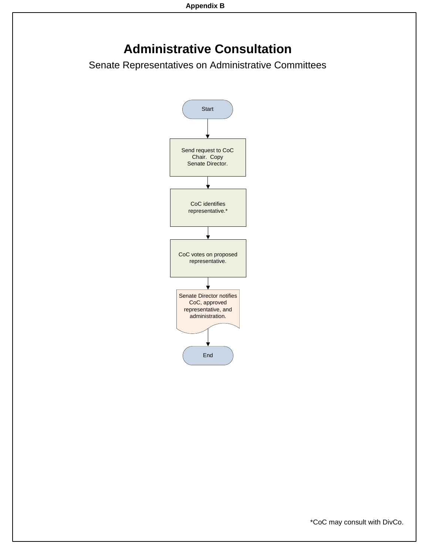## **Administrative Consultation**

Senate Representatives on Administrative Committees



\*CoC may consult with DivCo.